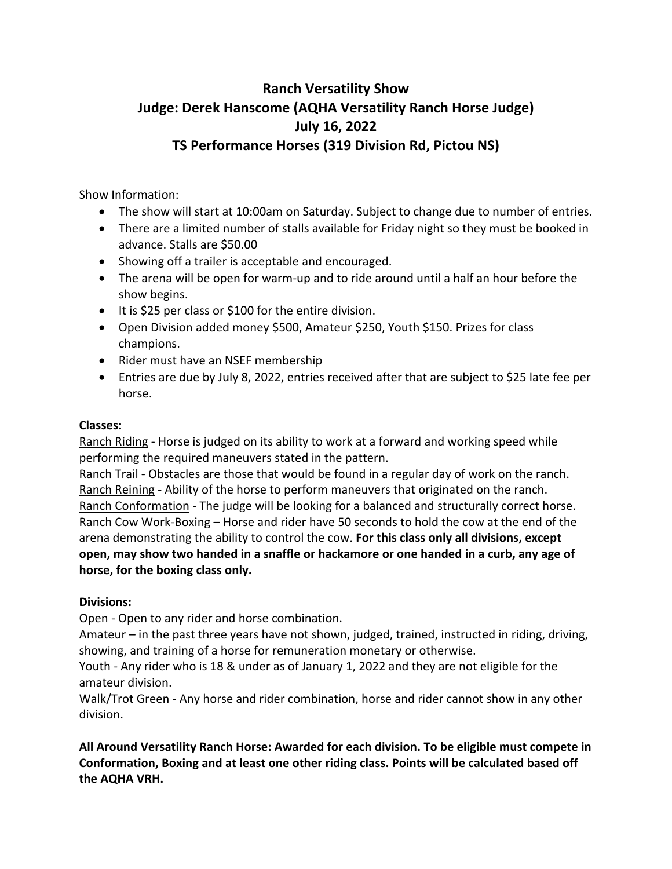# **Ranch Versatility Show Judge: Derek Hanscome (AQHA Versatility Ranch Horse Judge) July 16, 2022 TS Performance Horses (319 Division Rd, Pictou NS)**

Show Information:

- The show will start at 10:00am on Saturday. Subject to change due to number of entries.
- There are a limited number of stalls available for Friday night so they must be booked in advance. Stalls are \$50.00
- Showing off a trailer is acceptable and encouraged.
- The arena will be open for warm-up and to ride around until a half an hour before the show begins.
- It is \$25 per class or \$100 for the entire division.
- Open Division added money \$500, Amateur \$250, Youth \$150. Prizes for class champions.
- Rider must have an NSEF membership
- Entries are due by July 8, 2022, entries received after that are subject to \$25 late fee per horse.

## **Classes:**

Ranch Riding - Horse is judged on its ability to work at a forward and working speed while performing the required maneuvers stated in the pattern.

Ranch Trail - Obstacles are those that would be found in a regular day of work on the ranch. Ranch Reining - Ability of the horse to perform maneuvers that originated on the ranch. Ranch Conformation - The judge will be looking for a balanced and structurally correct horse. Ranch Cow Work-Boxing – Horse and rider have 50 seconds to hold the cow at the end of the arena demonstrating the ability to control the cow. **For this class only all divisions, except open, may show two handed in a snaffle or hackamore or one handed in a curb, any age of horse, for the boxing class only.** 

### **Divisions:**

Open - Open to any rider and horse combination.

Amateur – in the past three years have not shown, judged, trained, instructed in riding, driving, showing, and training of a horse for remuneration monetary or otherwise.

Youth - Any rider who is 18 & under as of January 1, 2022 and they are not eligible for the amateur division.

Walk/Trot Green - Any horse and rider combination, horse and rider cannot show in any other division.

**All Around Versatility Ranch Horse: Awarded for each division. To be eligible must compete in Conformation, Boxing and at least one other riding class. Points will be calculated based off the AQHA VRH.**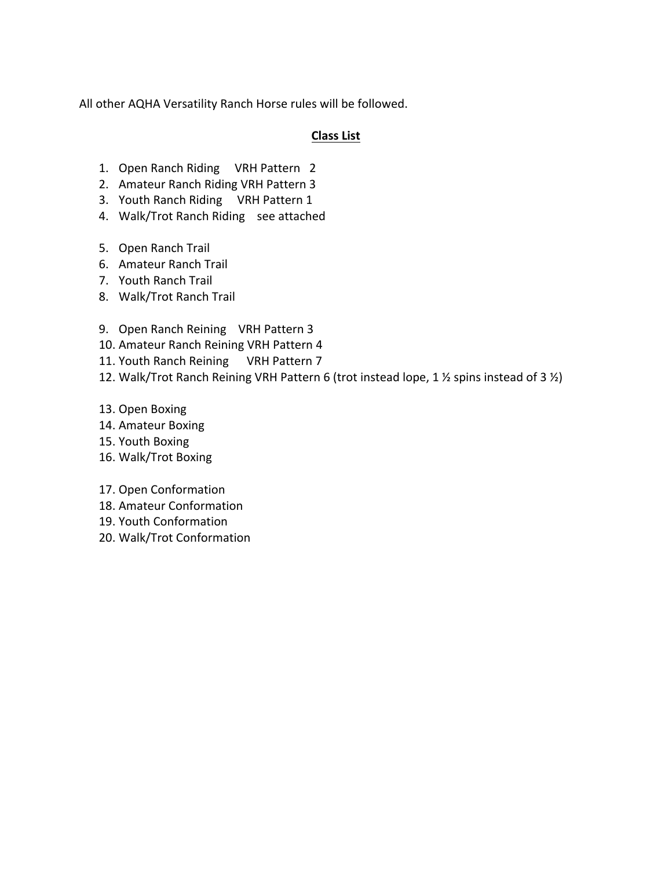All other AQHA Versatility Ranch Horse rules will be followed.

### **Class List**

- 1. Open Ranch Riding VRH Pattern 2
- 2. Amateur Ranch Riding VRH Pattern 3
- 3. Youth Ranch Riding VRH Pattern 1
- 4. Walk/Trot Ranch Riding see attached
- 5. Open Ranch Trail
- 6. Amateur Ranch Trail
- 7. Youth Ranch Trail
- 8. Walk/Trot Ranch Trail
- 9. Open Ranch Reining VRH Pattern 3
- 10. Amateur Ranch Reining VRH Pattern 4
- 11. Youth Ranch Reining VRH Pattern 7
- 12. Walk/Trot Ranch Reining VRH Pattern 6 (trot instead lope, 1 ½ spins instead of 3 ½)
- 13. Open Boxing
- 14. Amateur Boxing
- 15. Youth Boxing
- 16. Walk/Trot Boxing
- 17. Open Conformation
- 18. Amateur Conformation
- 19. Youth Conformation
- 20. Walk/Trot Conformation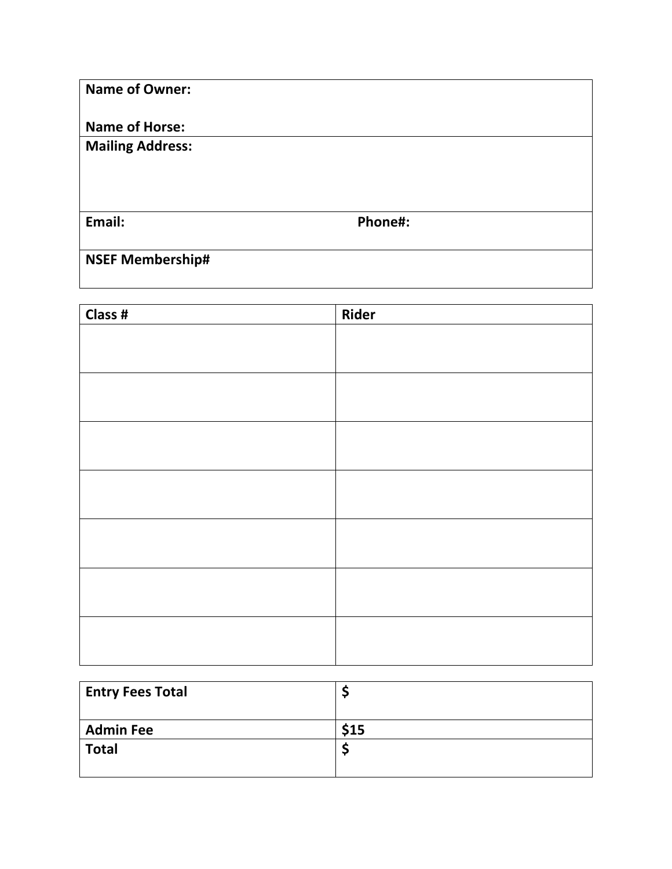| <b>Name of Owner:</b>   |         |
|-------------------------|---------|
| <b>Name of Horse:</b>   |         |
| <b>Mailing Address:</b> |         |
|                         |         |
|                         |         |
| Email:                  | Phone#: |
|                         |         |
| <b>NSEF Membership#</b> |         |

| Class # | <b>Rider</b> |
|---------|--------------|
|         |              |
|         |              |
|         |              |
|         |              |
|         |              |
|         |              |
|         |              |
|         |              |
|         |              |
|         |              |
|         |              |
|         |              |
|         |              |
|         |              |
|         |              |
|         |              |
|         |              |

| <b>Entry Fees Total</b> |      |
|-------------------------|------|
| <b>Admin Fee</b>        | \$15 |
| <b>Total</b>            |      |
|                         |      |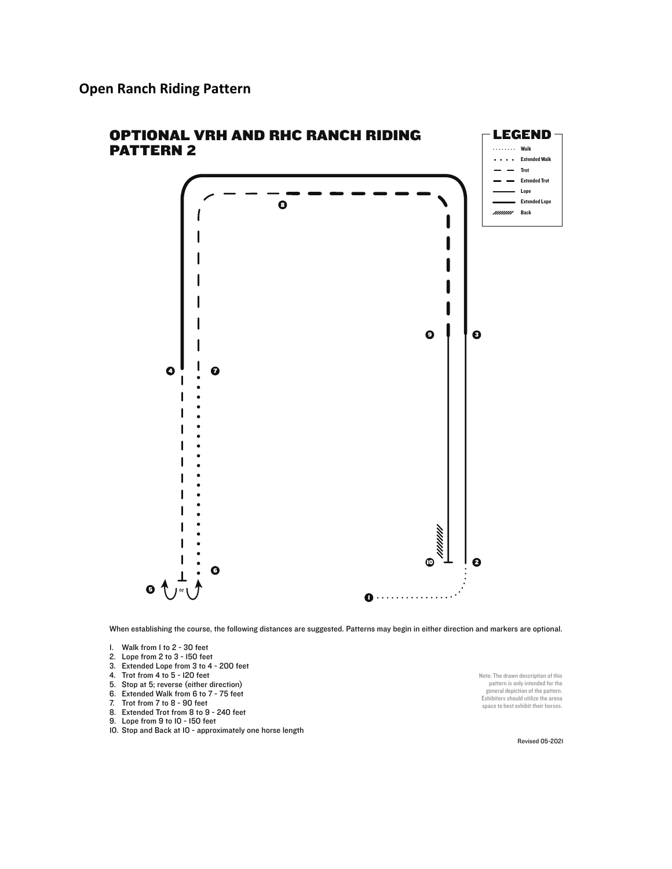**Open Ranch Riding Pattern**



When establishing the course, the following distances are suggested. Patterns may begin in either direction and markers are optional.

- 1. Walk from 1 to 2 30 feet
- 2. Lope from 2 to 3 150 feet
- 3. Extended Lope from 3 to 4 200 feet
- 4. Trot from 4 to 5 120 feet
- 5. Stop at 5; reverse (either direction)
- 6. Extended Walk from 6 to 7 75 feet
- 7. Trot from 7 to 8 90 feet
- 8. Extended Trot from 8 to 9 240 feet
- 9. Lope from 9 to 10 150 feet
- 10. Stop and Back at 10 approximately one horse length

Note: The drawn description of this pattern is only intended for the general depiction of the pattern. Exhibitors should utilize the arena space to best exhibit their horses.

Revised 05-2021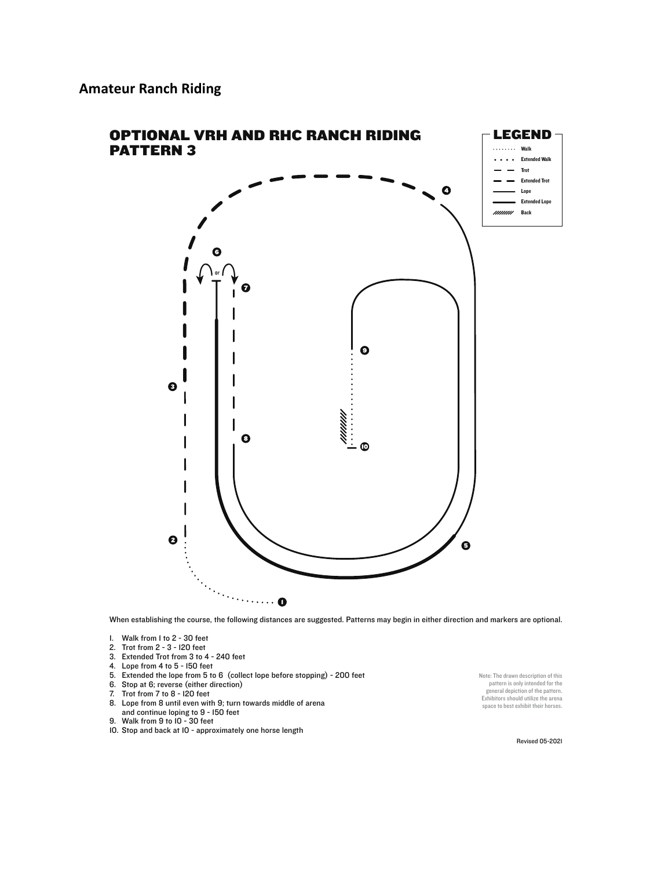

When establishing the course, the following distances are suggested. Patterns may begin in either direction and markers are optional.

- 1. Walk from 1 to 2 30 feet
- 2. Trot from 2 3 120 feet
- 3. Extended Trot from 3 to 4 240 feet
- 4. Lope from 4 to 5 150 feet
- 5. Extended the lope from 5 to 6 (collect lope before stopping) 200 feet
- 6. Stop at 6; reverse (either direction)
- 7. Trot from 7 to 8 120 feet
- 8. Lope from 8 until even with 9; turn towards middle of arena and continue loping to 9 - 150 feet
- 9. Walk from 9 to 10 30 feet
- 10. Stop and back at 10 approximately one horse length

Note: The drawn description of this pattern is only intended for the general depiction of the pattern. Exhibitors should utilize the arena space to best exhibit their horses.

Revised 05-2021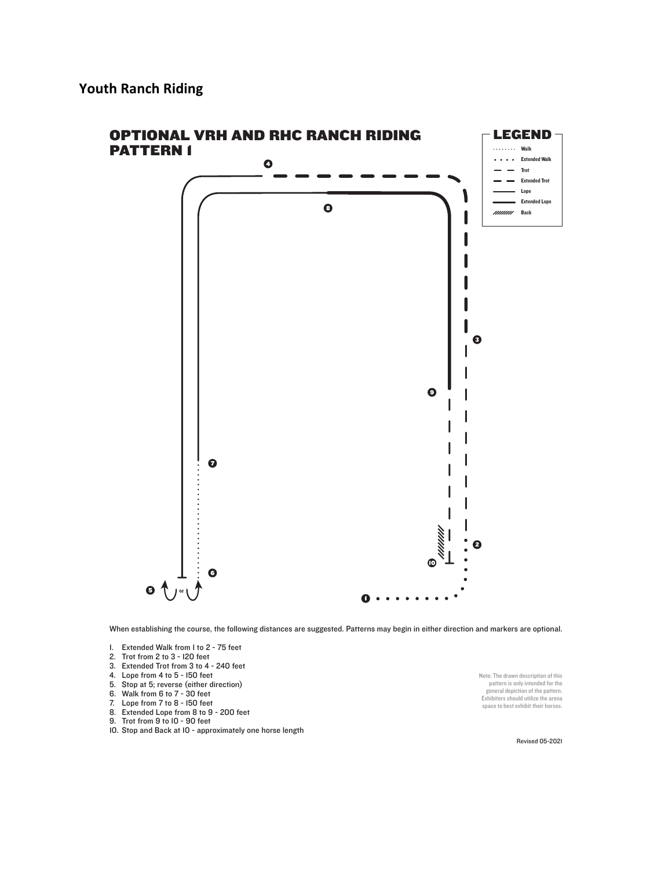

When establishing the course, the following distances are suggested. Patterns may begin in either direction and markers are optional.

- 1. Extended Walk from 1 to 2 75 feet
- 2. Trot from 2 to 3 120 feet
- 3. Extended Trot from 3 to 4 240 feet
- 4. Lope from 4 to 5 150 feet
- 5. Stop at 5; reverse (either direction)
- 6. Walk from 6 to 7 30 feet
- 7. Lope from 7 to 8 150 feet
- 8. Extended Lope from 8 to 9 200 feet
- 9. Trot from 9 to 10 90 feet
- 10. Stop and Back at 10 approximately one horse length

Note: The drawn description of this pattern is only intended for the general depiction of the pattern. Exhibitors should utilize the arena space to best exhibit their horses.

Revised 05-2021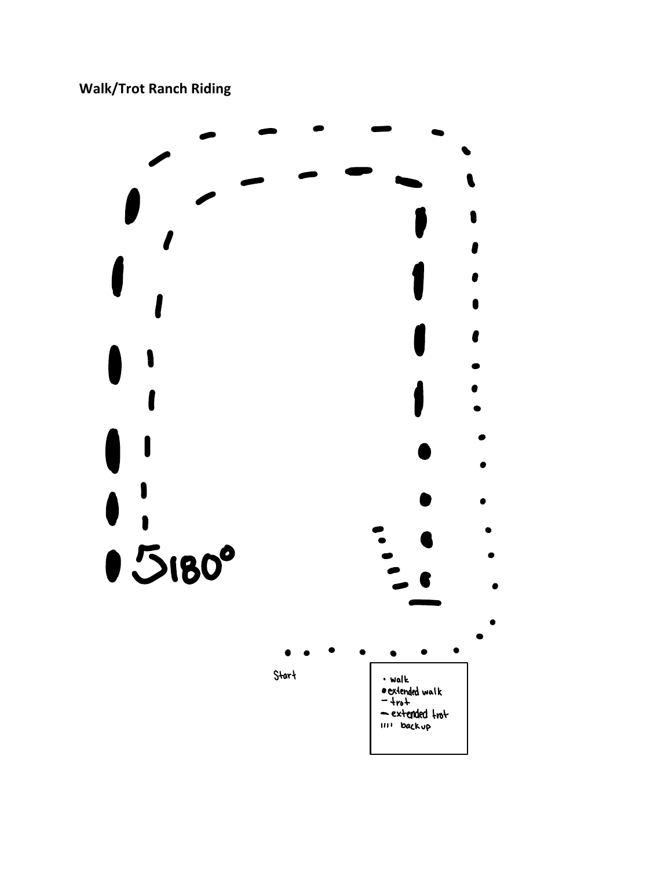

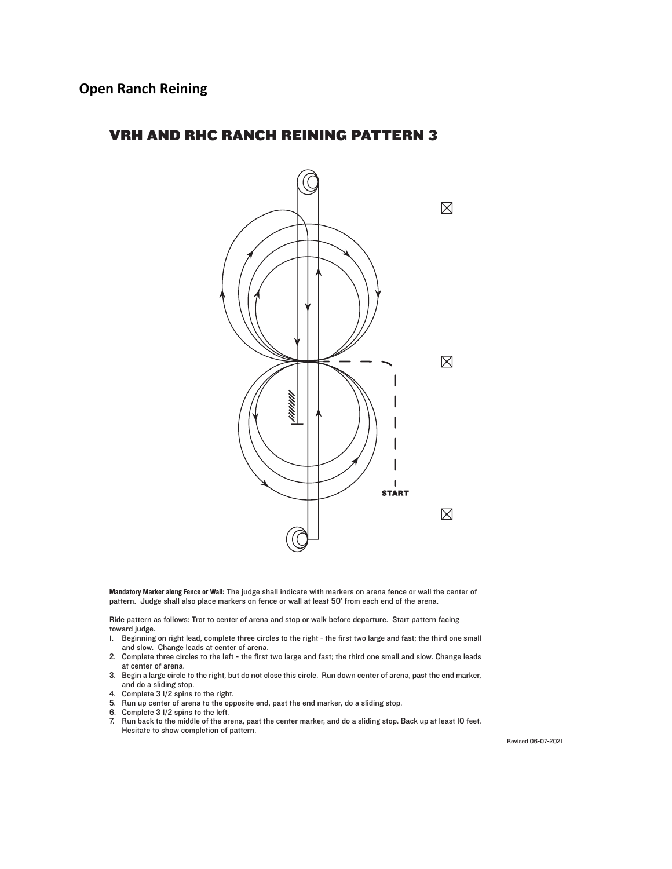

Mandatory Marker along Fence or Wall: The judge shall indicate with markers on arena fence or wall the center of pattern. Judge shall also place markers on fence or wall at least 50' from each end of the arena.

Ride pattern as follows: Trot to center of arena and stop or walk before departure. Start pattern facing toward judge.

- 1. Beginning on right lead, complete three circles to the right the first two large and fast; the third one small and slow. Change leads at center of arena.
- 2. Complete three circles to the left the first two large and fast; the third one small and slow. Change leads at center of arena.
- 3. Begin a large circle to the right, but do not close this circle. Run down center of arena, past the end marker, and do a sliding stop.
- 4. Complete 3 1/2 spins to the right.
- 5. Run up center of arena to the opposite end, past the end marker, do a sliding stop.
- 6. Complete 3 1/2 spins to the left.
- 7. Run back to the middle of the arena, past the center marker, and do a sliding stop. Back up at least 10 feet. Hesitate to show completion of pattern.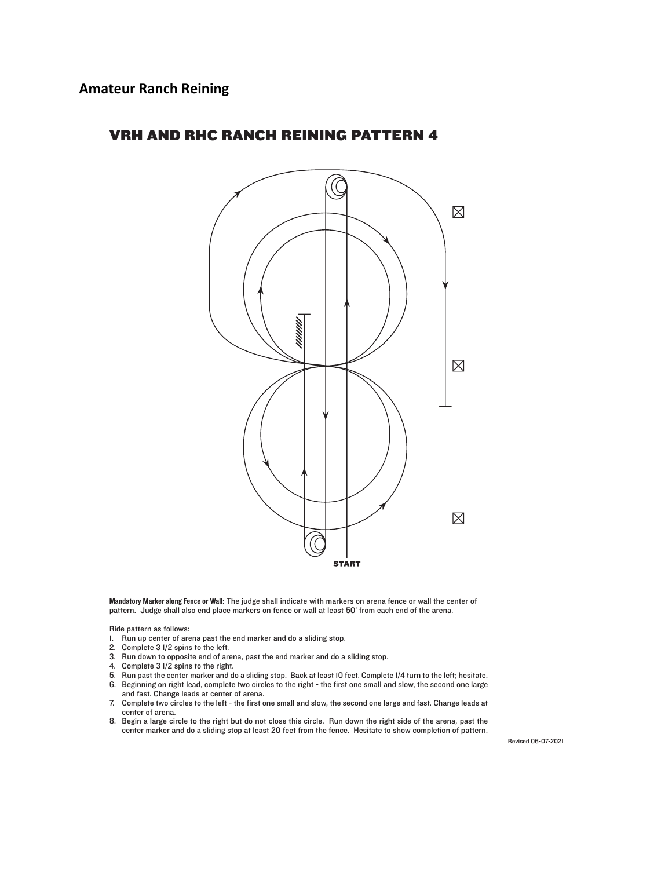

Mandatory Marker along Fence or Wall: The judge shall indicate with markers on arena fence or wall the center of pattern. Judge shall also end place markers on fence or wall at least 50' from each end of the arena.

Ride pattern as follows:

- 1. Run up center of arena past the end marker and do a sliding stop.
- 2. Complete 3 1/2 spins to the left.
- 3. Run down to opposite end of arena, past the end marker and do a sliding stop.
- 4. Complete 3 1/2 spins to the right.
- 5. Run past the center marker and do a sliding stop. Back at least 10 feet. Complete 1/4 turn to the left; hesitate.
- 6. Beginning on right lead, complete two circles to the right the first one small and slow, the second one large and fast. Change leads at center of arena.
- 7. Complete two circles to the left the first one small and slow, the second one large and fast. Change leads at center of arena.
- 8. Begin a large circle to the right but do not close this circle. Run down the right side of the arena, past the center marker and do a sliding stop at least 20 feet from the fence. Hesitate to show completion of pattern.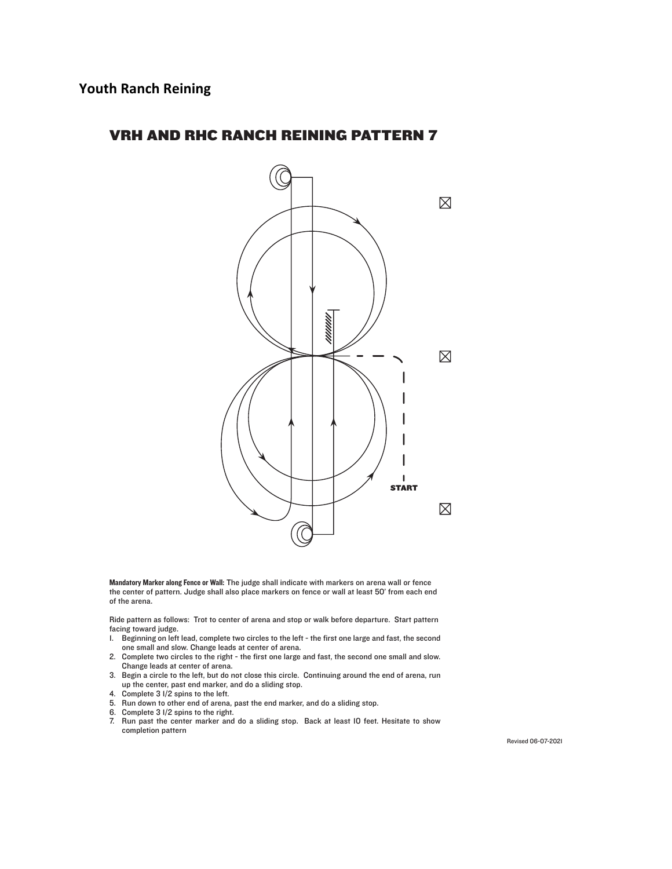

Mandatory Marker along Fence or Wall: The judge shall indicate with markers on arena wall or fence the center of pattern. Judge shall also place markers on fence or wall at least 50' from each end of the arena.

Ride pattern as follows: Trot to center of arena and stop or walk before departure. Start pattern facing toward judge.

- 1. Beginning on left lead, complete two circles to the left the first one large and fast, the second one small and slow. Change leads at center of arena.
- 2. Complete two circles to the right the first one large and fast, the second one small and slow. Change leads at center of arena.
- 3. Begin a circle to the left, but do not close this circle. Continuing around the end of arena, run up the center, past end marker, and do a sliding stop.
- 4. Complete 3 1/2 spins to the left.
- 5. Run down to other end of arena, past the end marker, and do a sliding stop.
- 6. Complete 3 1/2 spins to the right.
- 7. Run past the center marker and do a sliding stop. Back at least 10 feet. Hesitate to show completion pattern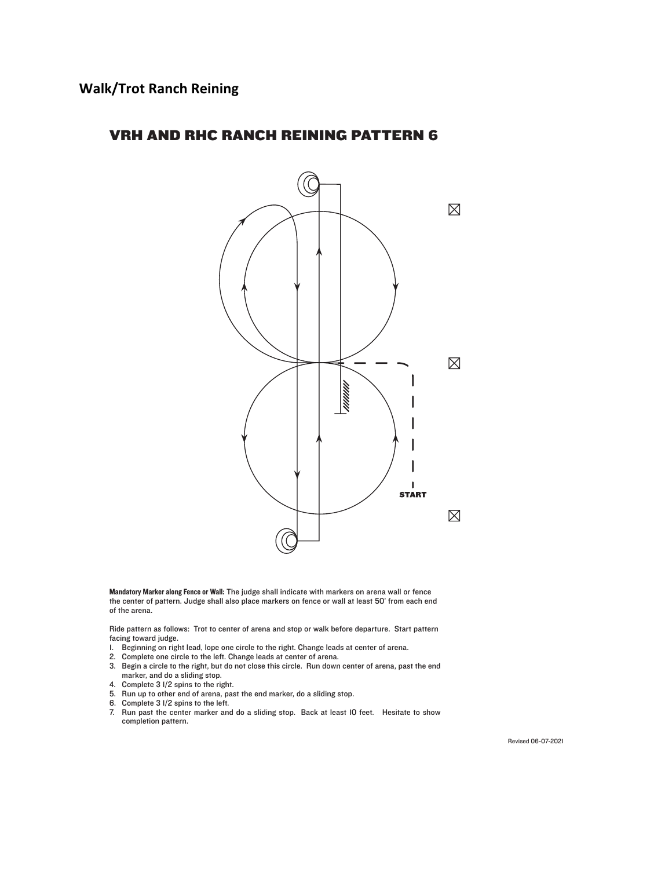

Mandatory Marker along Fence or Wall: The judge shall indicate with markers on arena wall or fence the center of pattern. Judge shall also place markers on fence or wall at least 50' from each end of the arena.

Ride pattern as follows: Trot to center of arena and stop or walk before departure. Start pattern facing toward judge.

- 1. Beginning on right lead, lope one circle to the right. Change leads at center of arena.
- 2. Complete one circle to the left. Change leads at center of arena.
- 3. Begin a circle to the right, but do not close this circle. Run down center of arena, past the end marker, and do a sliding stop.
- 4. Complete 3 1/2 spins to the right.
- 5. Run up to other end of arena, past the end marker, do a sliding stop.
- 6. Complete 3 1/2 spins to the left.
- 7. Run past the center marker and do a sliding stop. Back at least 10 feet. Hesitate to show completion pattern.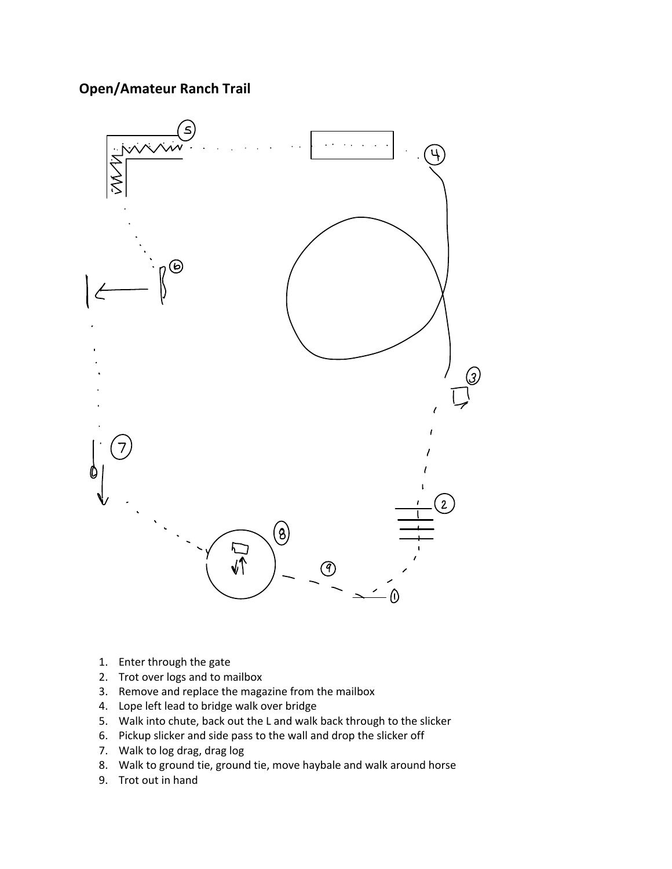# **Open/Amateur Ranch Trail**



- 1. Enter through the gate
- 2. Trot over logs and to mailbox
- 3. Remove and replace the magazine from the mailbox
- 4. Lope left lead to bridge walk over bridge
- 5. Walk into chute, back out the L and walk back through to the slicker
- 6. Pickup slicker and side pass to the wall and drop the slicker off
- 7. Walk to log drag, drag log
- 8. Walk to ground tie, ground tie, move haybale and walk around horse
- 9. Trot out in hand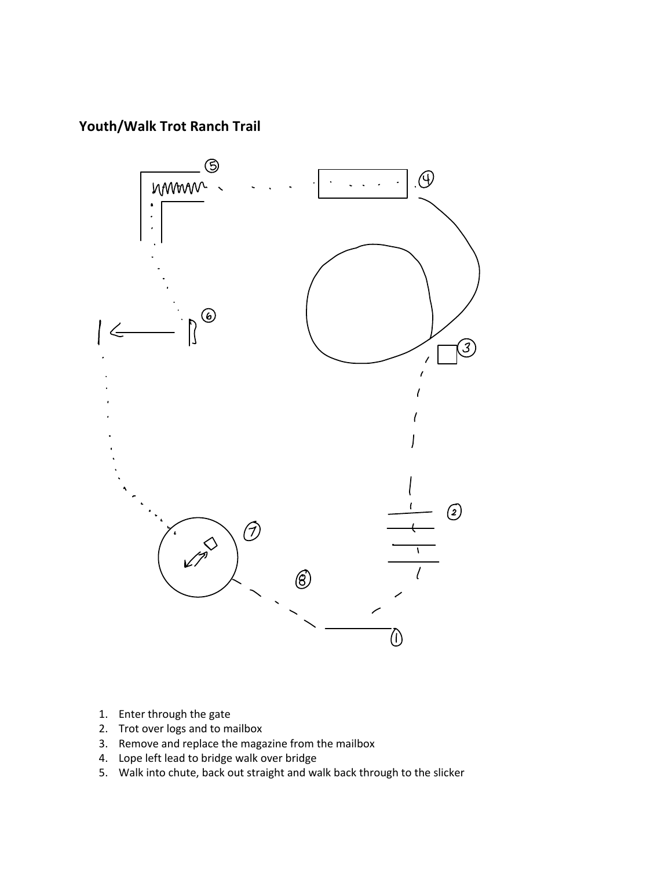**Youth/Walk Trot Ranch Trail**



- 1. Enter through the gate
- 2. Trot over logs and to mailbox
- 3. Remove and replace the magazine from the mailbox
- 4. Lope left lead to bridge walk over bridge
- 5. Walk into chute, back out straight and walk back through to the slicker